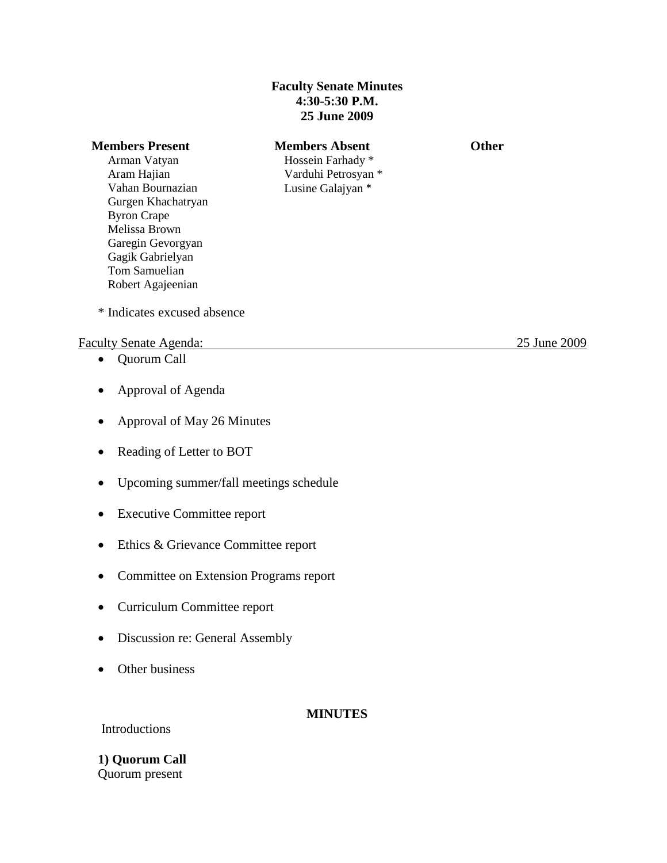### **Faculty Senate Minutes 4:30-5:30 P.M. 25 June 2009**

### **Members Present Members Absent Other**

Arman Vatyan Aram Hajian Vahan Bournazian Gurgen Khachatryan Byron Crape Melissa Brown Garegin Gevorgyan Gagik Gabrielyan Tom Samuelian Robert Agajeenian

# Hossein Farhady \* Varduhi Petrosyan \* Lusine Galajyan \*

\* Indicates excused absence

#### Faculty Senate Agenda: 25 June 2009

- Quorum Call
- Approval of Agenda
- Approval of May 26 Minutes
- Reading of Letter to BOT
- Upcoming summer/fall meetings schedule
- Executive Committee report
- Ethics & Grievance Committee report
- Committee on Extension Programs report
- Curriculum Committee report
- Discussion re: General Assembly
- Other business

### **MINUTES**

#### Introductions

**1) Quorum Call** Quorum present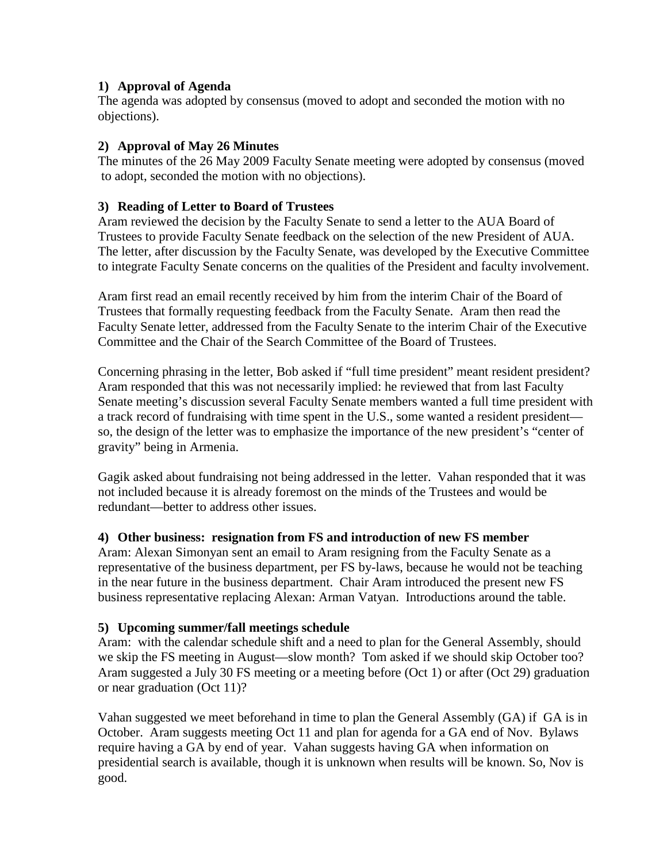### **1) Approval of Agenda**

 The agenda was adopted by consensus (moved to adopt and seconded the motion with no objections).

## **2) Approval of May 26 Minutes**

The minutes of the 26 May 2009 Faculty Senate meeting were adopted by consensus (moved to adopt, seconded the motion with no objections).

## **3) Reading of Letter to Board of Trustees**

Aram reviewed the decision by the Faculty Senate to send a letter to the AUA Board of Trustees to provide Faculty Senate feedback on the selection of the new President of AUA. The letter, after discussion by the Faculty Senate, was developed by the Executive Committee to integrate Faculty Senate concerns on the qualities of the President and faculty involvement.

Aram first read an email recently received by him from the interim Chair of the Board of Trustees that formally requesting feedback from the Faculty Senate. Aram then read the Faculty Senate letter, addressed from the Faculty Senate to the interim Chair of the Executive Committee and the Chair of the Search Committee of the Board of Trustees.

Concerning phrasing in the letter, Bob asked if "full time president" meant resident president? Aram responded that this was not necessarily implied: he reviewed that from last Faculty Senate meeting's discussion several Faculty Senate members wanted a full time president with a track record of fundraising with time spent in the U.S., some wanted a resident president so, the design of the letter was to emphasize the importance of the new president's "center of gravity" being in Armenia.

Gagik asked about fundraising not being addressed in the letter. Vahan responded that it was not included because it is already foremost on the minds of the Trustees and would be redundant—better to address other issues.

### **4) Other business: resignation from FS and introduction of new FS member**

Aram: Alexan Simonyan sent an email to Aram resigning from the Faculty Senate as a representative of the business department, per FS by-laws, because he would not be teaching in the near future in the business department. Chair Aram introduced the present new FS business representative replacing Alexan: Arman Vatyan. Introductions around the table.

### **5) Upcoming summer/fall meetings schedule**

Aram: with the calendar schedule shift and a need to plan for the General Assembly, should we skip the FS meeting in August—slow month? Tom asked if we should skip October too? Aram suggested a July 30 FS meeting or a meeting before (Oct 1) or after (Oct 29) graduation or near graduation (Oct 11)?

Vahan suggested we meet beforehand in time to plan the General Assembly (GA) if GA is in October. Aram suggests meeting Oct 11 and plan for agenda for a GA end of Nov. Bylaws require having a GA by end of year. Vahan suggests having GA when information on presidential search is available, though it is unknown when results will be known. So, Nov is good.